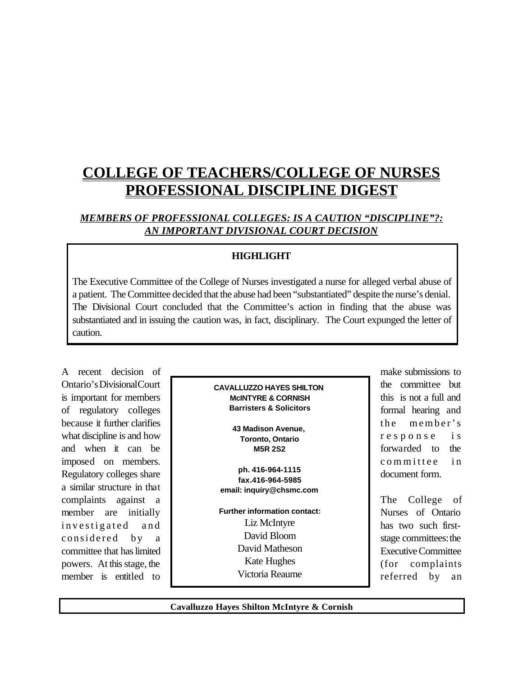# **COLLEGE OF TEACHERS/COLLEGE OF NURSES PROFESSIONAL DISCIPLINE DIGEST**

## *MEMBERS OF PROFESSIONAL COLLEGES: IS A CAUTION "DISCIPLINE"?: AN IMPORTANT DIVISIONAL COURT DECISION*

## **HIGHLIGHT**

The Executive Committee of the College of Nurses investigated a nurse for alleged verbal abuse of a patient. The Committee decided that the abuse had been "substantiated" despite the nurse's denial. The Divisional Court concluded that the Committee's action in finding that the abuse was substantiated and in issuing the caution was, in fact, disciplinary. The Court expunged the letter of caution.

A recent decision of Ontario's Divisional Court is important for members of regulatory colleges because it further clarifies what discipline is and how and when it can be imposed on members. Regulatory colleges share a similar structure in that complaints against a member are initially investigated and considered by a committee that haslimited powers. At this stage, the member is entitled to

| <b>CAVALLUZZO HAYES SHILTON</b>    |
|------------------------------------|
| <b>MCINTYRE &amp; CORNISH</b>      |
| <b>Barristers &amp; Solicitors</b> |
|                                    |

**43 Madison Avenue, Toronto, Ontario M5R 2S2**

**ph. 416-964-1115 fax.416-964-5985 email: inquiry@chsmc.com**

**Further information contact:** Liz McIntyre David Bloom David Matheson Kate Hughes Victoria Reaume

make submissions to the committee but this is not a full and formal hearing and the member's response is forwarded to the committee in document form.

The College of Nurses of Ontario has two such firststage committees: the ExecutiveCommittee (for complaints referred by an

**Cavalluzzo Hayes Shilton McIntyre & Cornish**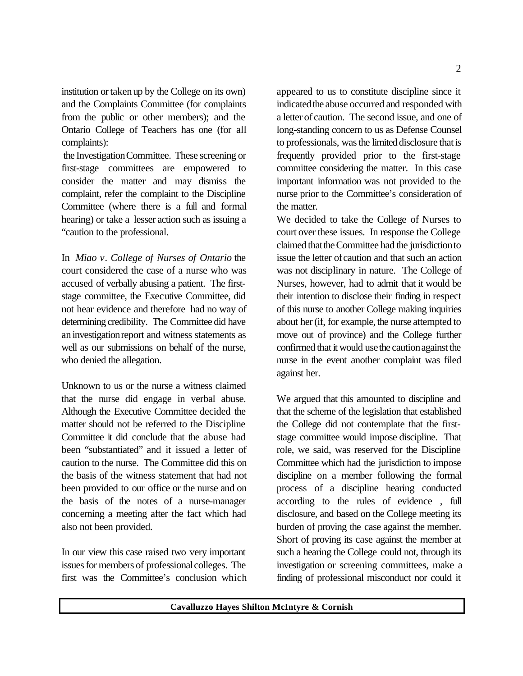institution ortakenup by the College on its own) and the Complaints Committee (for complaints from the public or other members); and the Ontario College of Teachers has one (for all complaints):

the InvestigationCommittee. These screening or first-stage committees are empowered to consider the matter and may dismiss the complaint, refer the complaint to the Discipline Committee (where there is a full and formal hearing) or take a lesser action such as issuing a "caution to the professional.

In *Miao v. College of Nurses of Ontario* the court considered the case of a nurse who was accused of verbally abusing a patient. The firststage committee, the Executive Committee, did not hear evidence and therefore had no way of determining credibility. The Committee did have aninvestigationreport and witness statements as well as our submissions on behalf of the nurse, who denied the allegation.

Unknown to us or the nurse a witness claimed that the nurse did engage in verbal abuse. Although the Executive Committee decided the matter should not be referred to the Discipline Committee it did conclude that the abuse had been "substantiated" and it issued a letter of caution to the nurse. The Committee did this on the basis of the witness statement that had not been provided to our office or the nurse and on the basis of the notes of a nurse-manager concerning a meeting after the fact which had also not been provided.

In our view this case raised two very important issues for members of professional colleges. The first was the Committee's conclusion which appeared to us to constitute discipline since it indicated the abuse occurred and responded with a letter of caution. The second issue, and one of long-standing concern to us as Defense Counsel to professionals, wasthe limited disclosure that is frequently provided prior to the first-stage committee considering the matter. In this case important information was not provided to the nurse prior to the Committee's consideration of the matter.

We decided to take the College of Nurses to court over these issues. In response the College claimed thattheCommittee had the jurisdictionto issue the letter of caution and that such an action was not disciplinary in nature. The College of Nurses, however, had to admit that it would be their intention to disclose their finding in respect of this nurse to another College making inquiries about her (if, for example, the nurse attempted to move out of province) and the College further confirmed that it would use the caution against the nurse in the event another complaint was filed against her.

We argued that this amounted to discipline and that the scheme of the legislation that established the College did not contemplate that the firststage committee would impose discipline. That role, we said, was reserved for the Discipline Committee which had the jurisdiction to impose discipline on a member following the formal process of a discipline hearing conducted according to the rules of evidence , full disclosure, and based on the College meeting its burden of proving the case against the member. Short of proving its case against the member at such a hearing the College could not, through its investigation or screening committees, make a finding of professional misconduct nor could it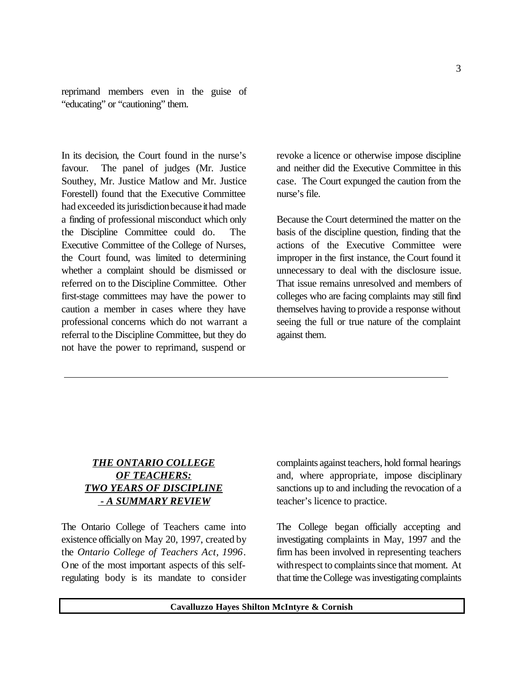reprimand members even in the guise of "educating" or "cautioning" them.

In its decision, the Court found in the nurse's favour. The panel of judges (Mr. Justice Southey, Mr. Justice Matlow and Mr. Justice Forestell) found that the Executive Committee had exceeded its jurisdiction because it had made a finding of professional misconduct which only the Discipline Committee could do. The Executive Committee of the College of Nurses, the Court found, was limited to determining whether a complaint should be dismissed or referred on to the Discipline Committee. Other first-stage committees may have the power to caution a member in cases where they have professional concerns which do not warrant a referral to the Discipline Committee, but they do not have the power to reprimand, suspend or

revoke a licence or otherwise impose discipline and neither did the Executive Committee in this case. The Court expunged the caution from the nurse's file.

Because the Court determined the matter on the basis of the discipline question, finding that the actions of the Executive Committee were improper in the first instance, the Court found it unnecessary to deal with the disclosure issue. That issue remains unresolved and members of colleges who are facing complaints may still find themselves having to provide a response without seeing the full or true nature of the complaint against them.

## *THE ONTARIO COLLEGE OF TEACHERS: TWO YEARS OF DISCIPLINE - A SUMMARY REVIEW*

 $\overline{a}$ 

The Ontario College of Teachers came into existence officially on May 20, 1997, created by the *Ontario College of Teachers Act, 1996*. One of the most important aspects of this selfregulating body is its mandate to consider

complaints against teachers, hold formal hearings and, where appropriate, impose disciplinary sanctions up to and including the revocation of a teacher's licence to practice.

The College began officially accepting and investigating complaints in May, 1997 and the firm has been involved in representing teachers with respect to complaints since that moment. At that time the College was investigating complaints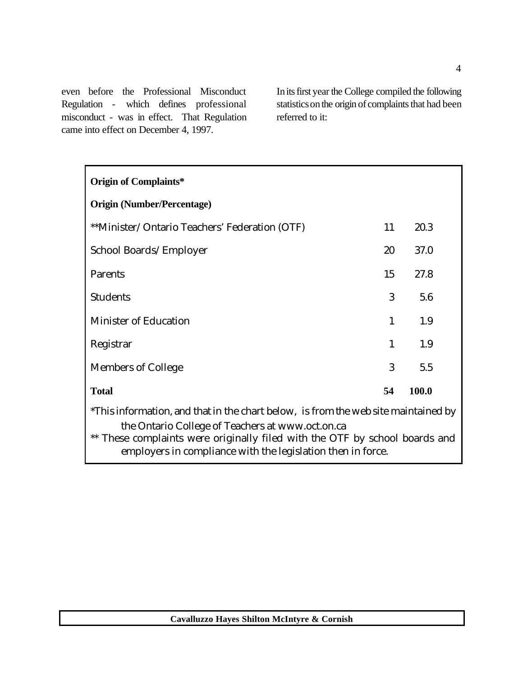even before the Professional Misconduct Regulation - which defines professional misconduct - was in effect. That Regulation came into effect on December 4, 1997.

Initsfirst yearthe College compiled the following statistics on the origin of complaints that had been referred to it:

| <b>Origin of Complaints*</b>                                                                                                                                                                                          |              |       |  |  |  |  |  |  |  |  |
|-----------------------------------------------------------------------------------------------------------------------------------------------------------------------------------------------------------------------|--------------|-------|--|--|--|--|--|--|--|--|
| <b>Origin (Number/Percentage)</b>                                                                                                                                                                                     |              |       |  |  |  |  |  |  |  |  |
| **Minister/Ontario Teachers' Federation (OTF)                                                                                                                                                                         | 11           | 20.3  |  |  |  |  |  |  |  |  |
| School Boards/Employer                                                                                                                                                                                                | 20           | 37.0  |  |  |  |  |  |  |  |  |
| <b>Parents</b>                                                                                                                                                                                                        | 15           | 27.8  |  |  |  |  |  |  |  |  |
| <b>Students</b>                                                                                                                                                                                                       | 3            | 5.6   |  |  |  |  |  |  |  |  |
| <b>Minister of Education</b>                                                                                                                                                                                          | $\mathbf{1}$ | 1.9   |  |  |  |  |  |  |  |  |
| Registrar                                                                                                                                                                                                             | $\mathbf{1}$ | 1.9   |  |  |  |  |  |  |  |  |
| <b>Members of College</b>                                                                                                                                                                                             | 3            | 5.5   |  |  |  |  |  |  |  |  |
| <b>Total</b>                                                                                                                                                                                                          | 54           | 100.0 |  |  |  |  |  |  |  |  |
| *This information, and that in the chart below, is from the web site maintained by<br>the Ontario College of Teachers at www.oct.on.ca<br>** These complaints were originally filed with the OTF by school boards and |              |       |  |  |  |  |  |  |  |  |
| employers in compliance with the legislation then in force.                                                                                                                                                           |              |       |  |  |  |  |  |  |  |  |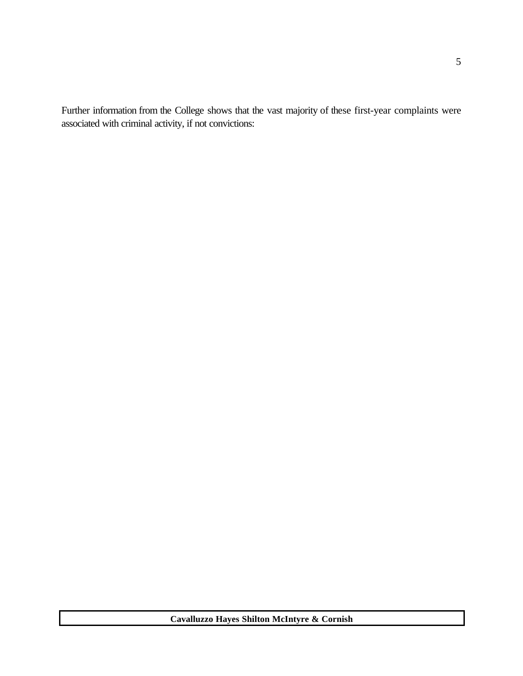Further information from the College shows that the vast majority of these first-year complaints were associated with criminal activity, if not convictions: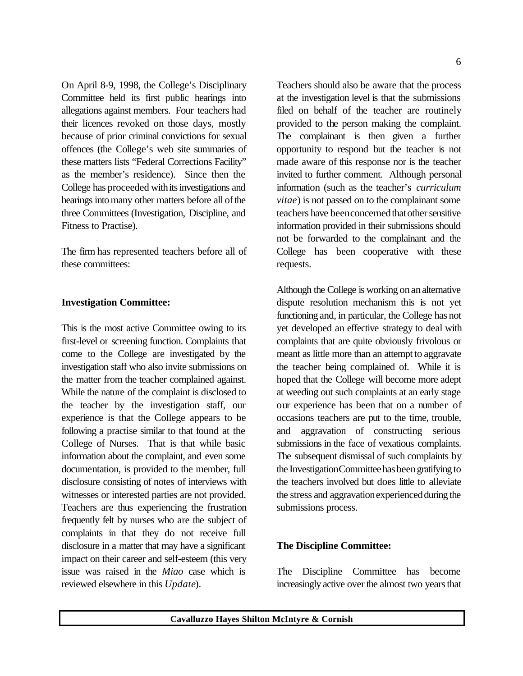On April 8-9, 1998, the College's Disciplinary Committee held its first public hearings into allegations against members. Four teachers had their licences revoked on those days, mostly because of prior criminal convictions for sexual offences (the College's web site summaries of these matters lists "Federal Corrections Facility" as the member's residence). Since then the College has proceeded with its investigations and hearings into many other matters before all of the three Committees (Investigation, Discipline, and Fitness to Practise).

The firm has represented teachers before all of these committees:

### **Investigation Committee:**

This is the most active Committee owing to its first-level or screening function. Complaints that come to the College are investigated by the investigation staff who also invite submissions on the matter from the teacher complained against. While the nature of the complaint is disclosed to the teacher by the investigation staff, our experience is that the College appears to be following a practise similar to that found at the College of Nurses. That is that while basic information about the complaint, and even some documentation, is provided to the member, full disclosure consisting of notes of interviews with witnesses or interested parties are not provided. Teachers are thus experiencing the frustration frequently felt by nurses who are the subject of complaints in that they do not receive full disclosure in a matter that may have a significant impact on their career and self-esteem (this very issue was raised in the *Miao* case which is reviewed elsewhere in this *Update*).

Teachers should also be aware that the process at the investigation level is that the submissions filed on behalf of the teacher are routinely provided to the person making the complaint. The complainant is then given a further opportunity to respond but the teacher is not made aware of this response nor is the teacher invited to further comment. Although personal information (such as the teacher's *curriculum vitae*) is not passed on to the complainant some teachers have been concerned that other sensitive information provided in their submissions should not be forwarded to the complainant and the College has been cooperative with these requests.

Although the College is working on an alternative dispute resolution mechanism this is not yet functioning and, in particular, the College has not yet developed an effective strategy to deal with complaints that are quite obviously frivolous or meant as little more than an attempt to aggravate the teacher being complained of. While it is hoped that the College will become more adept at weeding out such complaints at an early stage our experience has been that on a number of occasions teachers are put to the time, trouble, and aggravation of constructing serious submissions in the face of vexatious complaints. The subsequent dismissal of such complaints by the InvestigationCommitteehasbeengratifying to the teachers involved but does little to alleviate the stress and aggravation experienced during the submissions process.

#### **The Discipline Committee:**

The Discipline Committee has become increasingly active over the almost two years that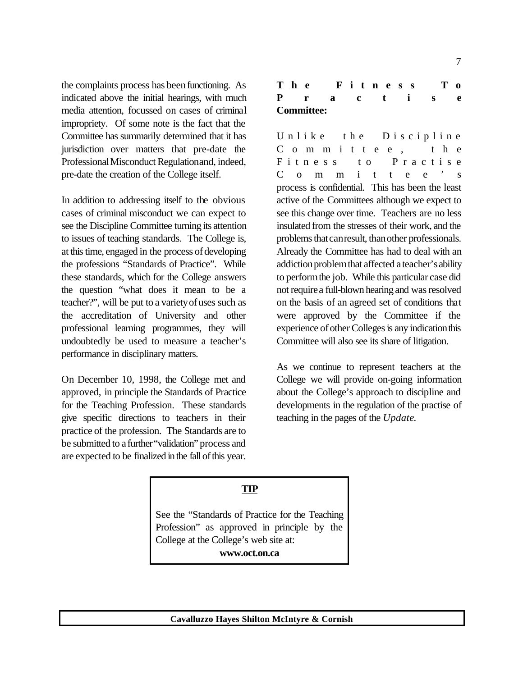the complaints process has been functioning. As indicated above the initial hearings, with much media attention, focussed on cases of criminal impropriety. Of some note is the fact that the Committee has summarily determined that it has jurisdiction over matters that pre-date the Professional Misconduct Regulationand, indeed, pre-date the creation of the College itself.

In addition to addressing itself to the obvious cases of criminal misconduct we can expect to see the Discipline Committee turning its attention to issues of teaching standards. The College is, at this time, engaged in the process of developing the professions "Standards of Practice". While these standards, which for the College answers the question "what does it mean to be a teacher?", will be put to a varietyofuses such as the accreditation of University and other professional learning programmes, they will undoubtedly be used to measure a teacher's performance in disciplinary matters.

On December 10, 1998, the College met and approved, in principle the Standards of Practice for the Teaching Profession. These standards give specific directions to teachers in their practice of the profession. The Standards are to be submitted to a further"validation" process and are expected to be finalized inthe fallofthis year.

|  | The Fitness       |  |  |  |  |  | $T_{0}$ |
|--|-------------------|--|--|--|--|--|---------|
|  | Practis           |  |  |  |  |  | -e      |
|  | <b>Committee:</b> |  |  |  |  |  |         |

Unlike the Discipline Committee, the Fitness to Practise C o m m i t t e e 's process is confidential. This has been the least active of the Committees although we expect to see this change over time. Teachers are no less insulated from the stresses of their work, and the problems that can result, than other professionals. Already the Committee has had to deal with an addiction problem that affected a teacher's ability to performthe job. While this particular case did not require a full-blown hearing and was resolved on the basis of an agreed set of conditions that were approved by the Committee if the experience of other Colleges is any indication this Committee will also see its share of litigation.

As we continue to represent teachers at the College we will provide on-going information about the College's approach to discipline and developments in the regulation of the practise of teaching in the pages of the *Update*.

#### **TIP**

See the "Standards of Practice for the Teaching Profession" as approved in principle by the College at the College's web site at: **www.oct.on.ca**

**Cavalluzzo Hayes Shilton McIntyre & Cornish**